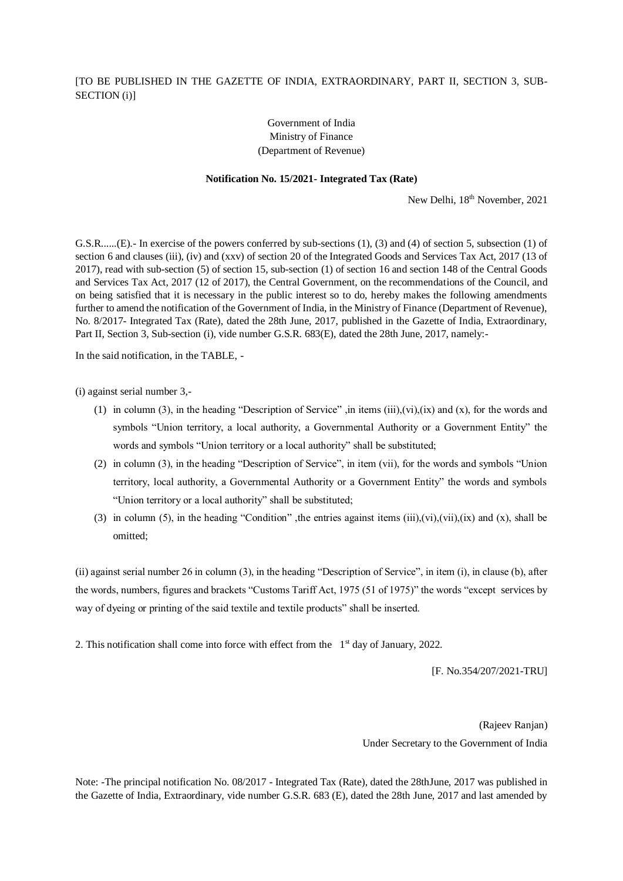## [TO BE PUBLISHED IN THE GAZETTE OF INDIA, EXTRAORDINARY, PART II, SECTION 3, SUB-SECTION (i)]

## Government of India Ministry of Finance (Department of Revenue)

## **Notification No. 15/2021- Integrated Tax (Rate)**

New Delhi,  $18<sup>th</sup>$  November, 2021

G.S.R...... $(E)$ . In exercise of the powers conferred by sub-sections (1), (3) and (4) of section 5, subsection (1) of section 6 and clauses (iii), (iv) and (xxv) of section 20 of the Integrated Goods and Services Tax Act, 2017 (13 of 2017), read with sub-section (5) of section 15, sub-section (1) of section 16 and section 148 of the Central Goods and Services Tax Act, 2017 (12 of 2017), the Central Government, on the recommendations of the Council, and on being satisfied that it is necessary in the public interest so to do, hereby makes the following amendments further to amend the notification of the Government of India, in the Ministry of Finance (Department of Revenue), No. 8/2017- Integrated Tax (Rate), dated the 28th June, 2017, published in the Gazette of India, Extraordinary, Part II, Section 3, Sub-section (i), vide number G.S.R. 683(E), dated the 28th June, 2017, namely:-

In the said notification, in the TABLE, -

(i) against serial number 3,-

- (1) in column (3), in the heading "Description of Service" ,in items (iii),(vi),(ix) and (x), for the words and symbols "Union territory, a local authority, a Governmental Authority or a Government Entity" the words and symbols "Union territory or a local authority" shall be substituted;
- (2) in column (3), in the heading "Description of Service", in item (vii), for the words and symbols "Union territory, local authority, a Governmental Authority or a Government Entity" the words and symbols "Union territory or a local authority" shall be substituted;
- (3) in column (5), in the heading "Condition", the entries against items  $(iii)$ , $(vi)$ , $(vi)$ , $(ix)$  and  $(x)$ , shall be omitted;

(ii) against serial number 26 in column (3), in the heading "Description of Service", in item (i), in clause (b), after the words, numbers, figures and brackets "Customs Tariff Act, 1975 (51 of 1975)" the words "except services by way of dyeing or printing of the said textile and textile products" shall be inserted.

2. This notification shall come into force with effect from the  $1<sup>st</sup>$  day of January, 2022.

[F. No.354/207/2021-TRU]

(Rajeev Ranjan) Under Secretary to the Government of India

Note: -The principal notification No. 08/2017 - Integrated Tax (Rate), dated the 28thJune, 2017 was published in the Gazette of India, Extraordinary, vide number G.S.R. 683 (E), dated the 28th June, 2017 and last amended by